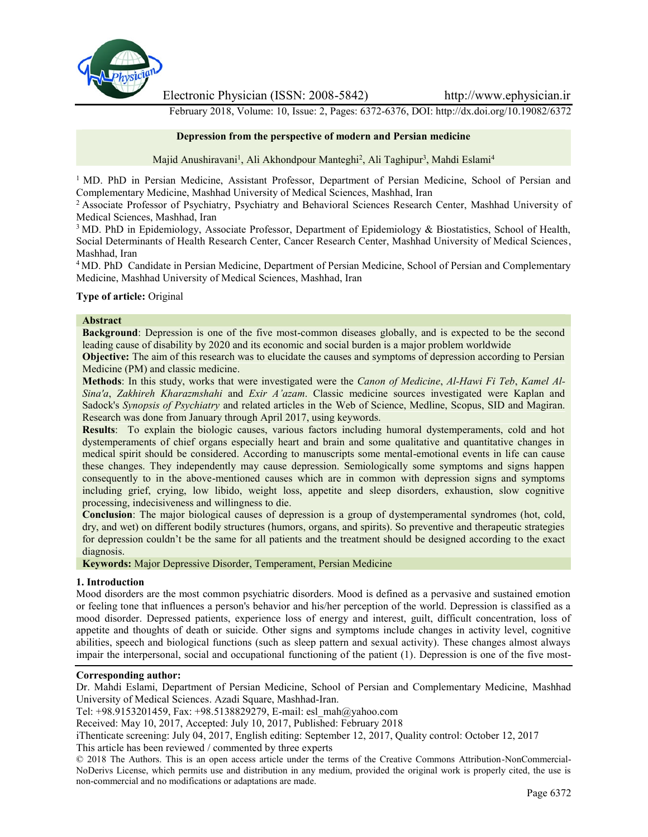

Electronic Physician (ISSN: 2008-5842) http://www.ephysician.ir

February 2018, Volume: 10, Issue: 2, Pages: 6372-6376, DOI: http://dx.doi.org/10.19082/6372

#### **Depression from the perspective of modern and Persian medicine**

Majid Anushiravani<sup>1</sup>, Ali Akhondpour Manteghi<sup>2</sup>, Ali Taghipur<sup>3</sup>, Mahdi Eslami<sup>4</sup>

<sup>1</sup> MD. PhD in Persian Medicine, Assistant Professor, Department of Persian Medicine, School of Persian and Complementary Medicine, Mashhad University of Medical Sciences, Mashhad, Iran

<sup>2</sup> Associate Professor of Psychiatry, Psychiatry and Behavioral Sciences Research Center, Mashhad University of Medical Sciences, Mashhad, Iran

<sup>3</sup> MD. PhD in Epidemiology, Associate Professor, Department of Epidemiology & Biostatistics, School of Health, Social Determinants of Health Research Center, Cancer Research Center, Mashhad University of Medical Sciences, Mashhad, Iran

<sup>4</sup> MD. PhD Candidate in Persian Medicine, Department of Persian Medicine, School of Persian and Complementary Medicine, Mashhad University of Medical Sciences, Mashhad, Iran

### **Type of article:** Original

#### **Abstract**

**Background**: Depression is one of the five most-common diseases globally, and is expected to be the second leading cause of disability by 2020 and its economic and social burden is a major problem worldwide

**Objective:** The aim of this research was to elucidate the causes and symptoms of depression according to Persian Medicine (PM) and classic medicine.

**Methods**: In this study, works that were investigated were the *Canon of Medicine*, *Al-Hawi Fi Teb*, *Kamel Al- Sina'a*, *Zakhireh Kharazmshahi* and *Exir A'azam*. Classic medicine sources investigated were Kaplan and Sadock's *Synopsis of Psychiatry* and related articles in the Web of Science, Medline, Scopus, SID and Magiran. Research was done from January through April 2017, using keywords.

**Results**: To explain the biologic causes, various factors including humoral dystemperaments, cold and hot dystemperaments of chief organs especially heart and brain and some qualitative and quantitative changes in medical spirit should be considered. According to manuscripts some mental-emotional events in life can cause these changes. They independently may cause depression. Semiologically some symptoms and signs happen consequently to in the above-mentioned causes which are in common with depression signs and symptoms including grief, crying, low libido, weight loss, appetite and sleep disorders, exhaustion, slow cognitive processing, indecisiveness and willingness to die.

**Conclusion**: The major biological causes of depression is a group of dystemperamental syndromes (hot, cold, dry, and wet) on different bodily structures (humors, organs, and spirits). So preventive and therapeutic strategies for depression couldn't be the same for all patients and the treatment should be designed according to the exact diagnosis.

**Keywords:** Major Depressive Disorder, Temperament, Persian Medicine

#### **1. Introduction**

Mood disorders are the most common psychiatric disorders. Mood is defined as a pervasive and sustained emotion or feeling tone that influences a person's behavior and his/her perception of the world. Depression is classified as a mood disorder. Depressed patients, experience loss of energy and interest, guilt, difficult concentration, loss of appetite and thoughts of death or suicide. Other signs and symptoms include changes in activity level, cognitive abilities, speech and biological functions (such as sleep pattern and sexual activity). These changes almost always impair the interpersonal, social and occupational functioning of the patient (1). Depression is one of the five most-

# **Corresponding author:**

Dr. Mahdi Eslami, Department of Persian Medicine, School of Persian and Complementary Medicine, Mashhad University of Medical Sciences. Azadi Square, Mashhad-Iran.

Tel: +98.9153201459, Fax: +98.5138829279, E-mail: esl\_mah@yahoo.com

Received: May 10, 2017, Accepted: July 10, 2017, Published: February 2018

iThenticate screening: July 04, 2017, English editing: September 12, 2017, Quality control: October 12, 2017

This article has been reviewed / commented by three experts

© 2018 The Authors. This is an open access article under the terms of the Creative Commons Attribution-NonCommercial- NoDerivs License, which permits use and distribution in any medium, provided the original work is properly cited, the use is non-commercial and no modifications or adaptations are made.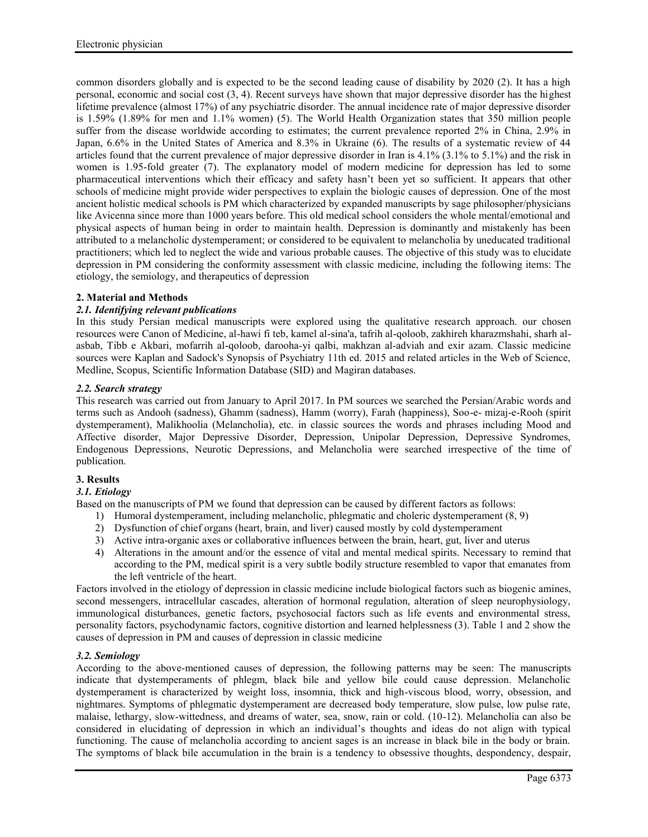common disorders globally and is expected to be the second leading cause of disability by 2020 (2). It has a high personal, economic and social cost (3, 4). Recent surveys have shown that major depressive disorder has the highest lifetime prevalence (almost 17%) of any psychiatric disorder. The annual incidence rate of major depressive disorder is 1.59% (1.89% for men and 1.1% women) (5). The World Health Organization states that 350 million people suffer from the disease worldwide according to estimates; the current prevalence reported 2% in China, 2.9% in Japan, 6.6% in the United States of America and 8.3% in Ukraine (6). The results of a systematic review of 44 articles found that the current prevalence of major depressive disorder in Iran is 4.1% (3.1% to 5.1%) and the risk in women is 1.95-fold greater (7). The explanatory model of modern medicine for depression has led to some pharmaceutical interventions which their efficacy and safety hasn't been yet so sufficient. It appears that other schools of medicine might provide wider perspectives to explain the biologic causes of depression. One of the most ancient holistic medical schools is PM which characterized by expanded manuscripts by sage philosopher/physicians like Avicenna since more than 1000 years before. This old medical school considers the whole mental/emotional and physical aspects of human being in order to maintain health. Depression is dominantly and mistakenly has been attributed to a melancholic dystemperament; or considered to be equivalent to melancholia by uneducated traditional practitioners; which led to neglect the wide and various probable causes. The objective of this study was to elucidate depression in PM considering the conformity assessment with classic medicine, including the following items: The etiology, the semiology, and therapeutics of depression

# **2. Material and Methods**

# *2.1. Identifying relevant publications*

In this study Persian medical manuscripts were explored using the qualitative research approach. our chosen resources were Canon of Medicine, al-hawi fi teb, kamel al-sina'a, tafrih al-qoloob, zakhireh kharazmshahi, sharh al asbab, Tibb e Akbari, mofarrih al-qoloob, darooha-yi qalbi, makhzan al-adviah and exir azam. Classic medicine sources were Kaplan and Sadock's Synopsis of Psychiatry 11th ed. 2015 and related articles in the Web of Science, Medline, Scopus, Scientific Information Database (SID) and Magiran databases.

# *2.2. Search strategy*

This research was carried out from January to April 2017. In PM sources we searched the Persian/Arabic words and terms such as Andooh (sadness), Ghamm (sadness), Hamm (worry), Farah (happiness), Soo-e- mizaj-e-Rooh (spirit dystemperament), Malikhoolia (Melancholia), etc. in classic sources the words and phrases including Mood and Affective disorder, Major Depressive Disorder, Depression, Unipolar Depression, Depressive Syndromes, Endogenous Depressions, Neurotic Depressions, and Melancholia were searched irrespective of the time of publication.

# **3. Results**

# *3.1. Etiology*

Based on the manuscripts of PM we found that depression can be caused by different factors as follows:

- 1) Humoral dystemperament, including melancholic, phlegmatic and choleric dystemperament (8, 9)
- 2) Dysfunction of chief organs (heart, brain, and liver) caused mostly by cold dystemperament
- 3) Active intra-organic axes or collaborative influences between the brain, heart, gut, liver and uterus
- 4) Alterations in the amount and/or the essence of vital and mental medical spirits. Necessary to remind that according to the PM, medical spirit is a very subtle bodily structure resembled to vapor that emanates from the left ventricle of the heart.

Factors involved in the etiology of depression in classic medicine include biological factors such as biogenic amines, second messengers, intracellular cascades, alteration of hormonal regulation, alteration of sleep neurophysiology, immunological disturbances, genetic factors, psychosocial factors such as life events and environmental stress, personality factors, psychodynamic factors, cognitive distortion and learned helplessness (3). Table 1 and 2 show the causes of depression in PM and causes of depression in classic medicine

# *3.2. Semiology*

According to the above-mentioned causes of depression, the following patterns may be seen: The manuscripts indicate that dystemperaments of phlegm, black bile and yellow bile could cause depression. Melancholic dystemperament is characterized by weight loss, insomnia, thick and high-viscous blood, worry, obsession, and nightmares. Symptoms of phlegmatic dystemperament are decreased body temperature, slow pulse, low pulse rate, malaise, lethargy, slow-wittedness, and dreams of water, sea, snow, rain or cold. (10-12). Melancholia can also be considered in elucidating of depression in which an individual's thoughts and ideas do not align with typical functioning. The cause of melancholia according to ancient sages is an increase in black bile in the body or brain. The symptoms of black bile accumulation in the brain is a tendency to obsessive thoughts, despondency, despair,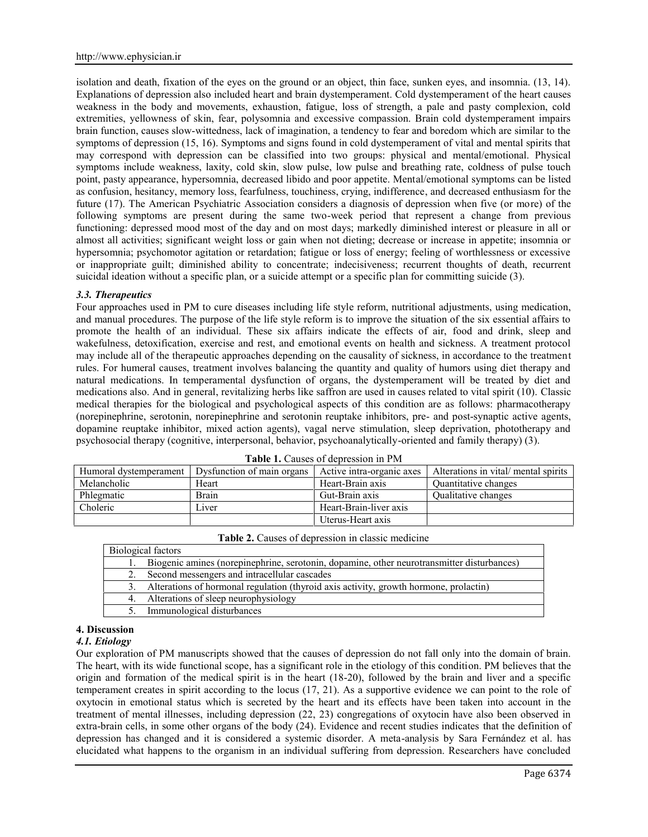isolation and death, fixation of the eyes on the ground or an object, thin face, sunken eyes, and insomnia. (13, 14). Explanations of depression also included heart and brain dystemperament. Cold dystemperament of the heart causes weakness in the body and movements, exhaustion, fatigue, loss of strength, a pale and pasty complexion, cold extremities, yellowness of skin, fear, polysomnia and excessive compassion. Brain cold dystemperament impairs brain function, causes slow-wittedness, lack of imagination, a tendency to fear and boredom which are similar to the symptoms of depression (15, 16). Symptoms and signs found in cold dystemperament of vital and mental spirits that may correspond with depression can be classified into two groups: physical and mental/emotional. Physical symptoms include weakness, laxity, cold skin, slow pulse, low pulse and breathing rate, coldness of pulse touch point, pasty appearance, hypersomnia, decreased libido and poor appetite. Mental/emotional symptoms can be listed as confusion, hesitancy, memory loss, fearfulness, touchiness, crying, indifference, and decreased enthusiasm for the future (17). The American Psychiatric Association considers a diagnosis of depression when five (or more) of the following symptoms are present during the same two-week period that represent a change from previous functioning: depressed mood most of the day and on most days; markedly diminished interest or pleasure in all or almost all activities; significant weight loss or gain when not dieting; decrease or increase in appetite; insomnia or hypersomnia; psychomotor agitation or retardation; fatigue or loss of energy; feeling of worthlessness or excessive or inappropriate guilt; diminished ability to concentrate; indecisiveness; recurrent thoughts of death, recurrent suicidal ideation without a specific plan, or a suicide attempt or a specific plan for committing suicide (3).

#### *3.3. Therapeutics*

Four approaches used in PM to cure diseases including life style reform, nutritional adjustments, using medication, and manual procedures. The purpose of the life style reform is to improve the situation of the six essential affairs to promote the health of an individual. These six affairs indicate the effects of air, food and drink, sleep and wakefulness, detoxification, exercise and rest, and emotional events on health and sickness. A treatment protocol may include all of the therapeutic approaches depending on the causality of sickness, in accordance to the treatment rules. For humeral causes, treatment involves balancing the quantity and quality of humors using diet therapy and natural medications. In temperamental dysfunction of organs, the dystemperament will be treated by diet and medications also. And in general, revitalizing herbs like saffron are used in causes related to vital spirit (10). Classic medical therapies for the biological and psychological aspects of this condition are as follows: pharmacotherapy (norepinephrine, serotonin, norepinephrine and serotonin reuptake inhibitors, pre- and post-synaptic active agents, dopamine reuptake inhibitor, mixed action agents), vagal nerve stimulation, sleep deprivation, phototherapy and psychosocial therapy (cognitive, interpersonal, behavior, psychoanalytically-oriented and family therapy) (3).

| TWAIN THE WARDOO OF AUDITODIOII III I IN T |                            |                           |                                      |  |  |  |  |
|--------------------------------------------|----------------------------|---------------------------|--------------------------------------|--|--|--|--|
| Humoral dystemperament                     | Dysfunction of main organs | Active intra-organic axes | Alterations in vital/ mental spirits |  |  |  |  |
| Melancholic                                | Heart                      | Heart-Brain axis          | <b>Quantitative changes</b>          |  |  |  |  |
| Phlegmatic                                 | <b>Brain</b>               | Gut-Brain axis            | <b>Oualitative changes</b>           |  |  |  |  |
| Choleric                                   | Liver                      | Heart-Brain-liver axis    |                                      |  |  |  |  |
|                                            |                            | Uterus-Heart axis         |                                      |  |  |  |  |

**Table 1.** Causes of depression in PM

| Biological factors |                                                                                            |  |  |  |  |
|--------------------|--------------------------------------------------------------------------------------------|--|--|--|--|
|                    | Biogenic amines (norepinephrine, serotonin, dopamine, other neurotransmitter disturbances) |  |  |  |  |
|                    | Second messengers and intracellular cascades                                               |  |  |  |  |
|                    | Alterations of hormonal regulation (thyroid axis activity, growth hormone, prolactin)      |  |  |  |  |
|                    | 4. Alterations of sleep neurophysiology                                                    |  |  |  |  |
|                    | Immunological disturbances                                                                 |  |  |  |  |

**Table 2.** Causes of depression in classic medicine

**4. Discussion**

#### *4.1. Etiology*

Our exploration of PM manuscripts showed that the causes of depression do not fall only into the domain of brain. The heart, with its wide functional scope, has a significant role in the etiology of this condition. PM believes that the origin and formation of the medical spirit is in the heart (18-20), followed by the brain and liver and a specific temperament creates in spirit according to the locus (17, 21). As a supportive evidence we can point to the role of oxytocin in emotional status which is secreted by the heart and its effects have been taken into account in the treatment of mental illnesses, including depression (22, 23) congregations of oxytocin have also been observed in extra-brain cells, in some other organs of the body (24). Evidence and recent studies indicates that the definition of depression has changed and it is considered a systemic disorder. A meta-analysis by Sara Fernández et al. has elucidated what happens to the organism in an individual suffering from depression. Researchers have concluded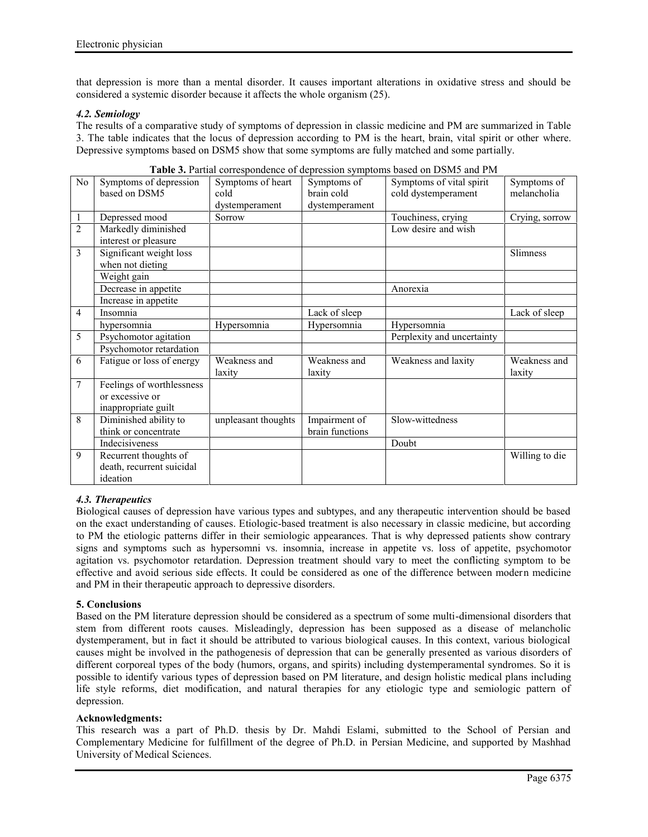that depression is more than a mental disorder. It causes important alterations in oxidative stress and should be considered a systemic disorder because it affects the whole organism (25).

# *4.2. Semiology*

The results of a comparative study of symptoms of depression in classic medicine and PM are summarized in Table 3. The table indicates that the locus of depression according to PM is the heart, brain, vital spirit or other where. Depressive symptoms based on DSM5 show that some symptoms are fully matched and some partially.

| No             | Symptoms of depression    | Symptoms of heart   | Symptoms of     | Symptoms of vital spirit   | Symptoms of    |
|----------------|---------------------------|---------------------|-----------------|----------------------------|----------------|
|                | based on DSM5             | cold                | brain cold      | cold dystemperament        | melancholia    |
|                |                           | dystemperament      | dystemperament  |                            |                |
| 1              | Depressed mood            | Sorrow              |                 | Touchiness, crying         | Crying, sorrow |
| $\overline{2}$ | Markedly diminished       |                     |                 | Low desire and wish        |                |
|                | interest or pleasure      |                     |                 |                            |                |
| 3              | Significant weight loss   |                     |                 |                            | Slimness       |
|                | when not dieting          |                     |                 |                            |                |
|                | Weight gain               |                     |                 |                            |                |
|                | Decrease in appetite      |                     |                 | Anorexia                   |                |
|                | Increase in appetite      |                     |                 |                            |                |
| 4              | Insomnia                  |                     | Lack of sleep   |                            | Lack of sleep  |
|                | hypersomnia               | Hypersomnia         | Hypersomnia     | Hypersomnia                |                |
| 5              | Psychomotor agitation     |                     |                 | Perplexity and uncertainty |                |
|                | Psychomotor retardation   |                     |                 |                            |                |
| 6              | Fatigue or loss of energy | Weakness and        | Weakness and    | Weakness and laxity        | Weakness and   |
|                |                           | laxity              | laxity          |                            | laxity         |
| 7              | Feelings of worthlessness |                     |                 |                            |                |
|                | or excessive or           |                     |                 |                            |                |
|                | inappropriate guilt       |                     |                 |                            |                |
| 8              | Diminished ability to     | unpleasant thoughts | Impairment of   | Slow-wittedness            |                |
|                | think or concentrate      |                     | brain functions |                            |                |
|                | Indecisiveness            |                     |                 | Doubt                      |                |
| 9              | Recurrent thoughts of     |                     |                 |                            | Willing to die |
|                | death, recurrent suicidal |                     |                 |                            |                |
|                | ideation                  |                     |                 |                            |                |

# *4.3. Therapeutics*

Biological causes of depression have various types and subtypes, and any therapeutic intervention should be based on the exact understanding of causes. Etiologic-based treatment is also necessary in classic medicine, but according to PM the etiologic patterns differ in their semiologic appearances. That is why depressed patients show contrary signs and symptoms such as hypersomni vs. insomnia, increase in appetite vs. loss of appetite, psychomotor agitation vs. psychomotor retardation. Depression treatment should vary to meet the conflicting symptom to be effective and avoid serious side effects. It could be considered as one of the difference between modern medicine and PM in their therapeutic approach to depressive disorders.

# **5. Conclusions**

Based on the PM literature depression should be considered as a spectrum of some multi-dimensional disorders that stem from different roots causes. Misleadingly, depression has been supposed as a disease of melancholic dystemperament, but in fact it should be attributed to various biological causes. In this context, various biological causes might be involved in the pathogenesis of depression that can be generally presented as various disorders of different corporeal types of the body (humors, organs, and spirits) including dystemperamental syndromes. So it is possible to identify various types of depression based on PM literature, and design holistic medical plans including life style reforms, diet modification, and natural therapies for any etiologic type and semiologic pattern of depression.

#### **Acknowledgments:**

This research was a part of Ph.D. thesis by Dr. Mahdi Eslami, submitted to the School of Persian and Complementary Medicine for fulfillment of the degree of Ph.D. in Persian Medicine, and supported by Mashhad University of Medical Sciences.